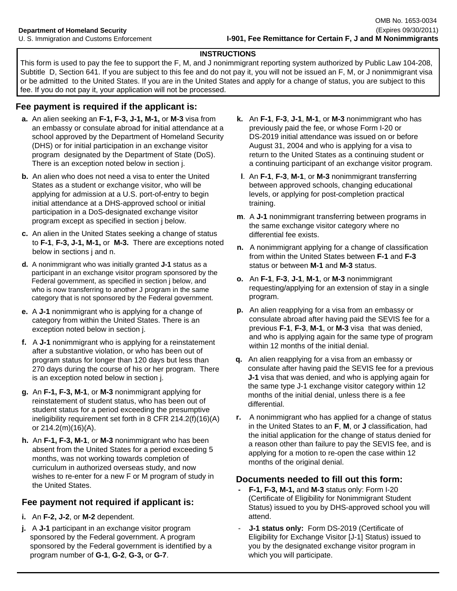#### **INSTRUCTIONS**

This form is used to pay the fee to support the F, M, and J nonimmigrant reporting system authorized by Public Law 104-208, Subtitle D, Section 641. If you are subject to this fee and do not pay it, you will not be issued an F, M, or J nonimmigrant visa or be admitted to the United States. If you are in the United States and apply for a change of status, you are subject to this fee. If you do not pay it, your application will not be processed.

# **Fee payment is required if the applicant is:**

- **a.** An alien seeking an **F-1, F-3, J-1, M-1,** or **M-3** visa from an embassy or consulate abroad for initial attendance at a school approved by the Department of Homeland Security (DHS) or for initial participation in an exchange visitor program designated by the Department of State (DoS). There is an exception noted below in section j.
- **b.** An alien who does not need a visa to enter the United States as a student or exchange visitor, who will be applying for admission at a U.S. port-of-entry to begin initial attendance at a DHS-approved school or initial participation in a DoS-designated exchange visitor
- **c.** An alien in the United States seeking a change of status to **F-1**, **F-3, J-1, M-1,** or **M-3.** There are exceptions noted below in sections j and n.
- **d.** A nonimmigrant who was initially granted **J-1** status as a participant in an exchange visitor program sponsored by the Federal government, as specified in section j below, and who is now transferring to another J program in the same category that is not sponsored by the Federal government.
- **e.** A **J-1** nonimmigrant who is applying for a change of category from within the United States. There is an exception noted below in section j.
- within 12 months of the initial denial. **f.** A **J-1** nonimmigrant who is applying for a reinstatement after a substantive violation, or who has been out of program status for longer than 120 days but less than 270 days during the course of his or her program. There is an exception noted below in section j.
- **g.** An **F-1, F-3, M-1**, or **M-3** nonimmigrant applying for reinstatement of student status, who has been out of student status for a period exceeding the presumptive ineligibility requirement set forth in 8 CFR 214.2(f)(16)(A) or 214.2(m)(16)(A).
- **h.** An **F-1, F-3, M-1**, or **M-3** nonimmigrant who has been absent from the United States for a period exceeding 5 months, was not working towards completion of curriculum in authorized overseas study, and now wishes to re-enter for a new F or M program of study in the United States.

# **Fee payment not required if applicant is:**

- **i.** An **F-2, J-2**, or **M-2** dependent.
- **j.** A **J-1** participant in an exchange visitor program sponsored by the Federal government. A program sponsored by the Federal government is identified by a program number of **G-1**, **G-2**, **G-3,** or **G-7**.
- **k.** An **F-1**, **F-3**, **J-1**, **M-1**, or **M-3** nonimmigrant who has previously paid the fee, or whose Form I-20 or DS-2019 initial attendance was issued on or before August 31, 2004 and who is applying for a visa to return to the United States as a continuing student or a continuing participant of an exchange visitor program.
- **l**. An **F-1**, **F-3**, **M-1**, or **M-3** nonimmigrant transferring between approved schools, changing educational levels, or applying for post-completion practical training.
- participation in a Doc-designated excitance visitor<br>program except as specified in section j below.<br>**m**. A **J-1** nonimmigrant transferring between programs in the same exchange visitor category where no differential fee exists.
	- **n.** A nonimmigrant applying for a change of classification from within the United States between **F-1** and **F-3** status or between **M-1** and **M-3** status.
	- **o.** An **F-1**, **F-3**, **J-1**, **M-1**, or **M-3** nonimmigrant requesting/applying for an extension of stay in a single program.
	- **p.** An alien reapplying for a visa from an embassy or consulate abroad after having paid the SEVIS fee for a previous **F-1**, **F-3**, **M-1**, or **M-3** visa that was denied, and who is applying again for the same type of program
	- **q.** An alien reapplying for a visa from an embassy or consulate after having paid the SEVIS fee for a previous **J-1** visa that was denied, and who is applying again for the same type J-1 exchange visitor category within 12 months of the initial denial, unless there is a fee differential.
	- **r.** A nonimmigrant who has applied for a change of status in the United States to an **F**, **M**, or **J** classification, had the initial application for the change of status denied for a reason other than failure to pay the SEVIS fee, and is applying for a motion to re-open the case within 12 months of the original denial.

# Documents needed to fill out this form:

- **F-1, F-3, M-1, and M-3 status only: Form I-20**  (Certificate of Eligibility for Nonimmigrant Student Status) issued to you by DHS-approved school you will attend.
- **J-1 status only: Form DS-2019 (Certificate of**  Eligibility for Exchange Visitor [J-1] Status) issued to you by the designated exchange visitor program in which you will participate.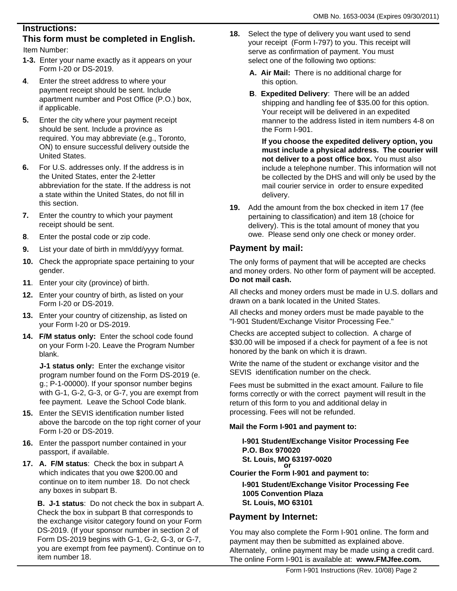# **Instructions:**

# **This form must be completed in English.**

Item Number:

- **1-3.** Enter your name exactly as it appears on your Form I-20 or DS-2019.
- **4**. Enter the street address to where your payment receipt should be sent. Include apartment number and Post Office (P.O.) box, if applicable.
- **5.** Enter the city where your payment receipt should be sent. Include a province as required. You may abbreviate (e.g., Toronto, ON) to ensure successful delivery outside the United States.
- **6.** For U.S. addresses only. If the address is in the United States, enter the 2-letter abbreviation for the state. If the address is not a state within the United States, do not fill in this section.
- **7.** Enter the country to which your payment receipt should be sent.
- **8**. Enter the postal code or zip code.
- **9.** List your date of birth in mm/dd/yyyy format.
- **10.** Check the appropriate space pertaining to your gender.
- **11**. Enter your city (province) of birth.
- **12.** Enter your country of birth, as listed on your Form I-20 or DS-2019.
- **13.** Enter your country of citizenship, as listed on your Form I-20 or DS-2019.
- **14. F/M status only:** Enter the school code found on your Form I-20. Leave the Program Number blank.

**J-1 status only:** Enter the exchange visitor program number found on the Form DS-2019 (e. g.; P-1-00000). If your sponsor number begins with G-1, G-2, G-3, or G-7, you are exempt from fee payment. Leave the School Code blank.

- **15.** Enter the SEVIS identification number listed above the barcode on the top right corner of your Form I-20 or DS-2019.
- **16.** Enter the passport number contained in your passport, if available.
- **17. A. F/M status**: Check the box in subpart A which indicates that you owe \$200.00 and continue on to item number 18. Do not check any boxes in subpart B.

**B. J-1 status**: Do not check the box in subpart A. Check the box in subpart B that corresponds to the exchange visitor category found on your Form DS-2019. (If your sponsor number in section 2 of Form DS-2019 begins with G-1, G-2, G-3, or G-7, you are exempt from fee payment). Continue on to item number 18.

- **18.** Select the type of delivery you want used to send your receipt (Form I-797) to you. This receipt will serve as confirmation of payment. You must select one of the following two options:
	- **A. Air Mail:** There is no additional charge for this option.
	- **B**. **Expedited Delivery**: There will be an added shipping and handling fee of \$35.00 for this option. Your receipt will be delivered in an expedited manner to the address listed in item numbers 4-8 on the Form I-901.

**If you choose the expedited delivery option, you must include a physical address. The courier will not deliver to a post office box.** You must also include a telephone number. This information will not be collected by the DHS and will only be used by the mail courier service in order to ensure expedited delivery.

**19.** Add the amount from the box checked in item 17 (fee pertaining to classification) and item 18 (choice for delivery). This is the total amount of money that you owe. Please send only one check or money order.

# **Payment by mail:**

The only forms of payment that will be accepted are checks and money orders. No other form of payment will be accepted. **Do not mail cash.**

All checks and money orders must be made in U.S. dollars and drawn on a bank located in the United States.

All checks and money orders must be made payable to the "I-901 Student/Exchange Visitor Processing Fee."

Checks are accepted subject to collection. A charge of \$30.00 will be imposed if a check for payment of a fee is not honored by the bank on which it is drawn.

Write the name of the student or exchange visitor and the SEVIS identification number on the check.

Fees must be submitted in the exact amount. Failure to file forms correctly or with the correct payment will result in the return of this form to you and additional delay in processing. Fees will not be refunded.

#### **Mail the Form I-901 and payment to:**

**I-901 Student/Exchange Visitor Processing Fee P.O. Box 970020 St. Louis, MO 63197-0020** *or* 

**Courier the Form I-901 and payment to:**

**I-901 Student/Exchange Visitor Processing Fee 1005 Convention Plaza St. Louis, MO 63101**

# **Payment by Internet:**

You may also complete the Form I-901 online. The form and payment may then be submitted as explained above. Alternately, online payment may be made using a credit card. The online Form I-901 is available at: **www.FMJfee.com.**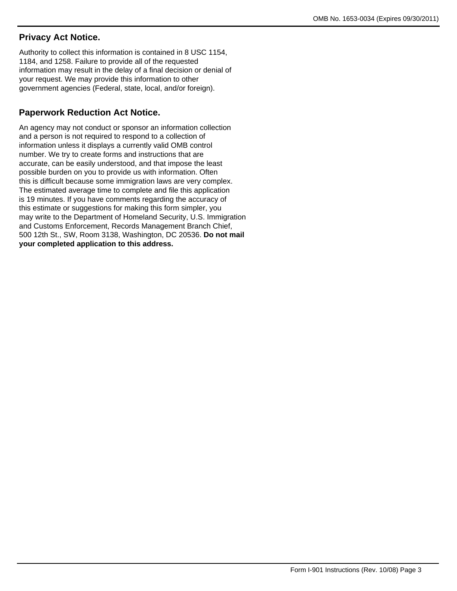# **Privacy Act Notice.**

Authority to collect this information is contained in 8 USC 1154, 1184, and 1258. Failure to provide all of the requested information may result in the delay of a final decision or denial of your request. We may provide this information to other government agencies (Federal, state, local, and/or foreign).

# **Paperwork Reduction Act Notice.**

An agency may not conduct or sponsor an information collection and a person is not required to respond to a collection of information unless it displays a currently valid OMB control number. We try to create forms and instructions that are accurate, can be easily understood, and that impose the least possible burden on you to provide us with information. Often this is difficult because some immigration laws are very complex. The estimated average time to complete and file this application is 19 minutes. If you have comments regarding the accuracy of this estimate or suggestions for making this form simpler, you may write to the Department of Homeland Security, U.S. Immigration and Customs Enforcement, Records Management Branch Chief, 500 12th St., SW, Room 3138, Washington, DC 20536. **Do not mail your completed application to this address.**